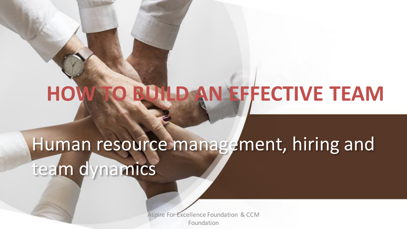# **HOW TO BUILD AN EFFECTIVE TEAM**

# Human resource management, hiring and team dynamics

Aspire For Excellence Foundation & CCM Foundation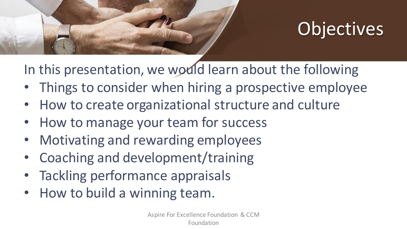

# **Objectives**

In this presentation, we would learn about the following

- Things to consider when hiring a prospective employee
- How to create organizational structure and culture
- How to manage your team for success
- Motivating and rewarding employees
- Coaching and development/training
- Tackling performance appraisals
- How to build a winning team.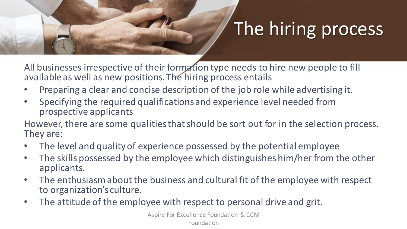# The hiring process

All businesses irrespective of their formation type needs to hire new people to fill available as well as new positions. The hiring process entails

- Preparing a clear and concise description of the job role while advertising it.
- Specifying the required qualifications and experience level needed from prospective applicants

However, there are some qualities that should be sort out for in the selection process. They are:

- The level and quality of experience possessed by the potential employee
- The skills possessed by the employee which distinguishes him/her from the other applicants.
- The enthusiasm about the business and cultural fit of the employee with respect to organization's culture.
- The attitude of the employee with respect to personal drive and grit.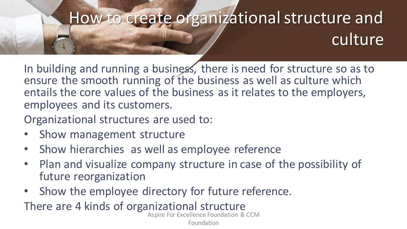## How to create organizational structure and culture

In building and running a business, there is need for structure so as to ensure the smooth running of the business as well as culture which entails the core values of the business as it relates to the employers, employees and its customers.

Organizational structures are used to:

- Show management structure
- Show hierarchies as well as employee reference
- Plan and visualize company structure in case of the possibility of future reorganization
- Show the employee directory for future reference.

There are 4 kinds of organizational structure

Aspire For Excellence Foundation & CCM

Foundation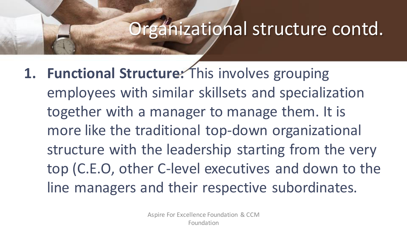#### Organizational structure contd.

1. Functional Structure: This involves grouping employees with similar skillsets and specialization together with a manager to manage them. It is more like the traditional top-down organizational structure with the leadership starting from the very top (C.E.O, other C-level executives and down to the line managers and their respective subordinates.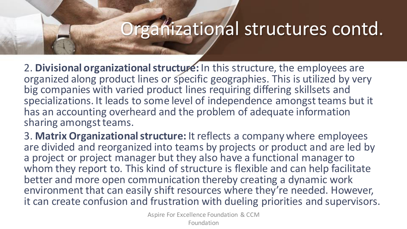#### Organizational structures contd.

2. **Divisional organizational structure:** In this structure, the employees are organized along product lines or specific geographies. This is utilized by very big companies with varied product lines requiring differing skillsets and specializations. It leads to some level of independence amongst teams but it has an accounting overheard and the problem of adequate information sharing amongst teams.

3. **Matrix Organizational structure:** It reflects a company where employees are divided and reorganized into teams by projects or product and are led by a project or project manager but they also have a functional manager to whom they report to. This kind of structure is flexible and can help facilitate better and more open communication thereby creating a dynamic work environment that can easily shift resources where they're needed. However, it can create confusion and frustration with dueling priorities and supervisors.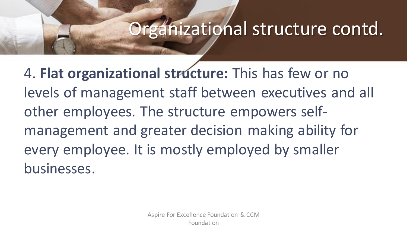#### Organizational structure contd.

4. **Flat organizational structure:** This has few or no levels of management staff between executives and all other employees. The structure empowers selfmanagement and greater decision making ability for every employee. It is mostly employed by smaller businesses.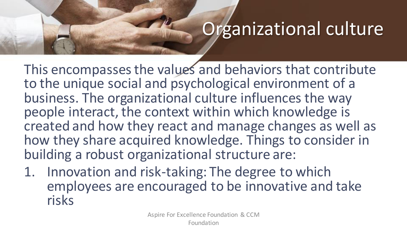### Organizational culture

This encompasses the values and behaviors that contribute to the unique social and psychological environment of a business. The organizational culture influences the way people interact, the context within which knowledge is created and how they react and manage changes as well as how they share acquired knowledge. Things to consider in building a robust organizational structure are:

1. Innovation and risk-taking: The degree to which employees are encouraged to be innovative and take risks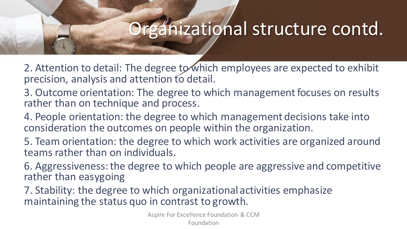#### Organizational structure contd.

2. Attention to detail: The degree to which employees are expected to exhibit precision, analysis and attention to detail.

- 3. Outcome orientation: The degree to which management focuses on results rather than on technique and process.
- 4. People orientation: the degree to which management decisions take into consideration the outcomes on people within the organization.
- 5. Team orientation: the degree to which work activities are organized around teams rather than on individuals.
- 6. Aggressiveness: the degree to which people are aggressive and competitive rather than easygoing
- 7. Stability: the degree to which organizational activities emphasize maintaining the status quo in contrast to growth.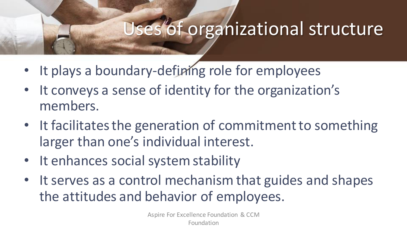#### Uses of organizational structure

- It plays a boundary-defining role for employees
- It conveys a sense of identity for the organization's members.
- It facilitates the generation of commitment to something larger than one's individual interest.
- It enhances social system stability
- It serves as a control mechanism that guides and shapes the attitudes and behavior of employees.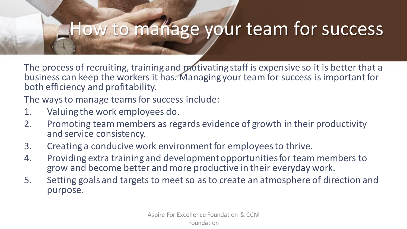#### How to manage your team for success

The process of recruiting, training and motivating staff is expensive so it is better that a business can keep the workers it has. Managing your team for success is important for both efficiency and profitability.

The ways to manage teams for success include:

- 1. Valuing the work employees do.
- 2. Promoting team members as regards evidence of growth in their productivity and service consistency.
- 3. Creating a conducive work environment for employees to thrive.
- 4. Providing extra training and development opportunities for team members to grow and become better and more productive in their everyday work.
- 5. Setting goals and targets to meet so as to create an atmosphere of direction and purpose.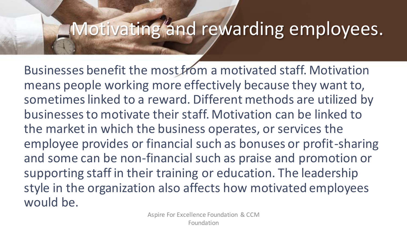#### Motivating and rewarding employees.

Businesses benefit the most from a motivated staff. Motivation means people working more effectively because they want to, sometimes linked to a reward. Different methods are utilized by businesses to motivate their staff. Motivation can be linked to the market in which the business operates, or services the employee provides or financial such as bonuses or profit-sharing and some can be non-financial such as praise and promotion or supporting staff in their training or education. The leadership style in the organization also affects how motivated employees would be.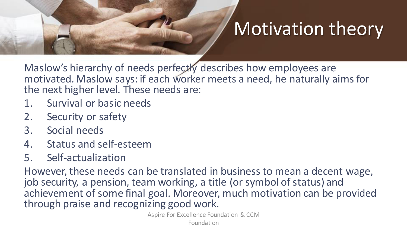# Motivation theory

Maslow's hierarchy of needs perfectly describes how employees are motivated. Maslow says: if each worker meets a need, he naturally aims for the next higher level. These needs are:

- 1. Survival or basic needs
- 2. Security or safety
- 3. Social needs
- 4. Status and self-esteem
- 5. Self-actualization

However, these needs can be translated in business to mean a decent wage, job security, a pension, team working, a title (or symbol of status) and achievement of some final goal. Moreover, much motivation can be provided through praise and recognizing good work.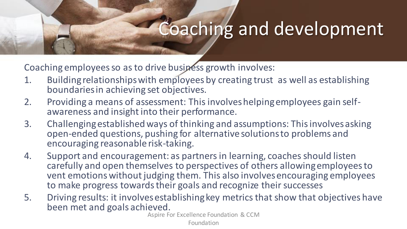#### Coaching and development

Coaching employees so as to drive business growth involves:

- 1. Building relationships with employees by creating trust as well as establishing boundaries in achieving set objectives.
- 2. Providing a means of assessment: This involves helping employees gain selfawareness and insight into their performance.
- 3. Challenging established ways of thinking and assumptions: This involves asking open-ended questions, pushing for alternative solutions to problems and encouraging reasonable risk-taking.
- 4. Support and encouragement: as partners in learning, coaches should listen carefully and open themselves to perspectives of others allowing employees to vent emotions without judging them. This also involves encouraging employees to make progress towards their goals and recognize their successes
- 5. Driving results: it involves establishing key metrics that show that objectives have been met and goals achieved.

Aspire For Excellence Foundation & CCM

Foundation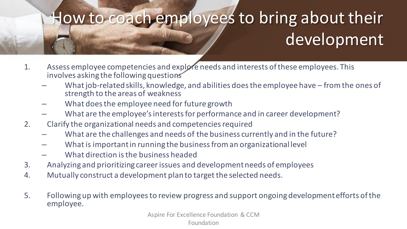# How to coach employees to bring about their development

- 1. Assess employee competencies and explore needs and interests of these employees. This involves asking the following questions
	- What job-related skills, knowledge, and abilities does the employee have from the ones of strength to the areas of weakness
	- What does the employee need for future growth
	- What are the employee's interests for performance and in career development?
- 2. Clarify the organizational needs and competencies required
	- What are the challenges and needs of the business currently and in the future?
	- What is important in running the business from an organizational level
	- What direction is the business headed
- 3. Analyzing and prioritizing career issues and development needs of employees
- 4. Mutually construct a development plan to target the selected needs.
- 5. Following up with employees to review progress and support ongoing development efforts of the employee.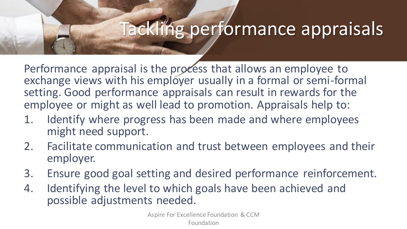### Tackling performance appraisals

Performance appraisal is the process that allows an employee to exchange views with his employer usually in a formal or semi-formal setting. Good performance appraisals can result in rewards for the employee or might as well lead to promotion. Appraisals help to:

- 1. Identify where progress has been made and where employees might need support.
- 2. Facilitate communication and trust between employees and their employer.
- 3. Ensure good goal setting and desired performance reinforcement.
- 4. Identifying the level to which goals have been achieved and possible adjustments needed.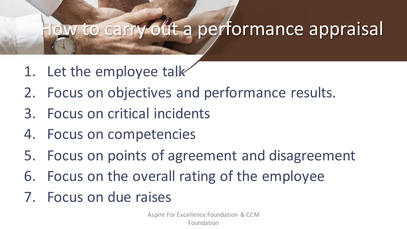#### ow to carry out a performance appraisal

- 1. Let the employee talk
- 2. Focus on objectives and performance results.
- 3. Focus on critical incidents
- 4. Focus on competencies
- 5. Focus on points of agreement and disagreement
- 6. Focus on the overall rating of the employee
- 7. Focus on due raises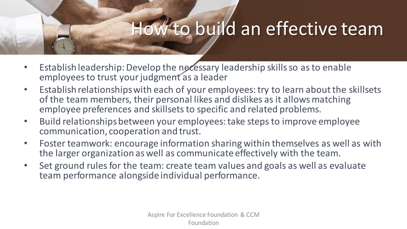#### How to build an effective team

- Establish leadership: Develop the necessary leadership skills so as to enable employees to trust your judgment as a leader
- Establish relationships with each of your employees: try to learn about the skillsets of the team members, their personal likes and dislikes as it allows matching employee preferences and skillsets to specific and related problems.
- Build relationships between your employees: take steps to improve employee communication, cooperation and trust.
- Foster teamwork: encourage information sharing within themselves as well as with the larger organization as well as communicate effectively with the team.
- Set ground rules for the team: create team values and goals as well as evaluate team performance alongside individual performance.